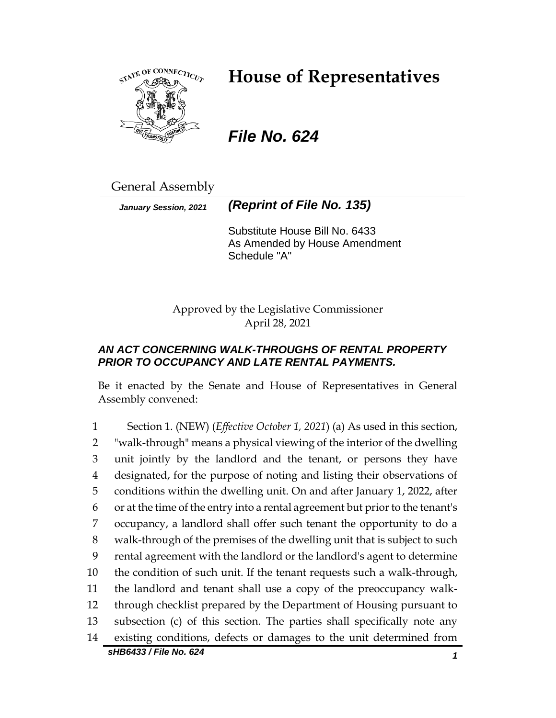

# **House of Representatives**

*File No. 624*

General Assembly

*January Session, 2021 (Reprint of File No. 135)*

Substitute House Bill No. 6433 As Amended by House Amendment Schedule "A"

Approved by the Legislative Commissioner April 28, 2021

## *AN ACT CONCERNING WALK-THROUGHS OF RENTAL PROPERTY PRIOR TO OCCUPANCY AND LATE RENTAL PAYMENTS.*

Be it enacted by the Senate and House of Representatives in General Assembly convened:

*sHB6433 / File No. 624 1* Section 1. (NEW) (*Effective October 1, 2021*) (a) As used in this section, "walk-through" means a physical viewing of the interior of the dwelling unit jointly by the landlord and the tenant, or persons they have designated, for the purpose of noting and listing their observations of conditions within the dwelling unit. On and after January 1, 2022, after or at the time of the entry into a rental agreement but prior to the tenant's occupancy, a landlord shall offer such tenant the opportunity to do a walk-through of the premises of the dwelling unit that is subject to such rental agreement with the landlord or the landlord's agent to determine the condition of such unit. If the tenant requests such a walk-through, the landlord and tenant shall use a copy of the preoccupancy walk- through checklist prepared by the Department of Housing pursuant to subsection (c) of this section. The parties shall specifically note any existing conditions, defects or damages to the unit determined from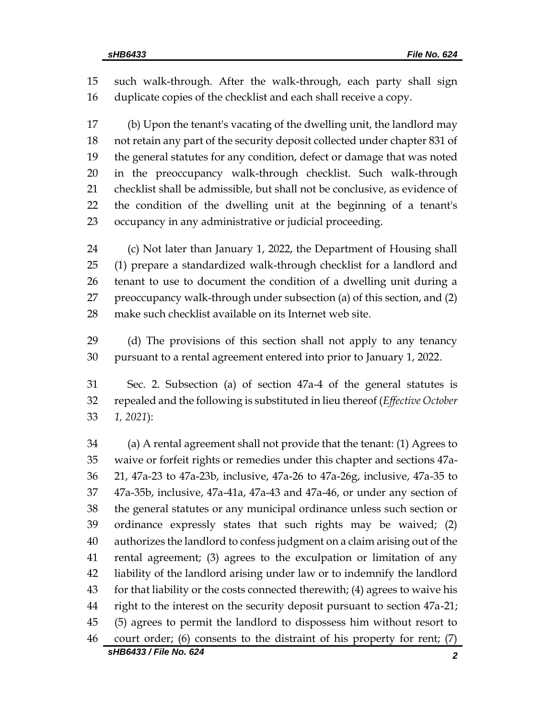such walk-through. After the walk-through, each party shall sign duplicate copies of the checklist and each shall receive a copy.

 (b) Upon the tenant's vacating of the dwelling unit, the landlord may not retain any part of the security deposit collected under chapter 831 of the general statutes for any condition, defect or damage that was noted in the preoccupancy walk-through checklist. Such walk-through checklist shall be admissible, but shall not be conclusive, as evidence of the condition of the dwelling unit at the beginning of a tenant's occupancy in any administrative or judicial proceeding.

 (c) Not later than January 1, 2022, the Department of Housing shall (1) prepare a standardized walk-through checklist for a landlord and tenant to use to document the condition of a dwelling unit during a preoccupancy walk-through under subsection (a) of this section, and (2) make such checklist available on its Internet web site.

 (d) The provisions of this section shall not apply to any tenancy pursuant to a rental agreement entered into prior to January 1, 2022.

 Sec. 2. Subsection (a) of section 47a-4 of the general statutes is repealed and the following is substituted in lieu thereof (*Effective October 1, 2021*):

 (a) A rental agreement shall not provide that the tenant: (1) Agrees to waive or forfeit rights or remedies under this chapter and sections 47a- 21, 47a-23 to 47a-23b, inclusive, 47a-26 to 47a-26g, inclusive, 47a-35 to 47a-35b, inclusive, 47a-41a, 47a-43 and 47a-46, or under any section of the general statutes or any municipal ordinance unless such section or ordinance expressly states that such rights may be waived; (2) authorizes the landlord to confess judgment on a claim arising out of the rental agreement; (3) agrees to the exculpation or limitation of any liability of the landlord arising under law or to indemnify the landlord for that liability or the costs connected therewith; (4) agrees to waive his right to the interest on the security deposit pursuant to section 47a-21; (5) agrees to permit the landlord to dispossess him without resort to court order; (6) consents to the distraint of his property for rent; (7)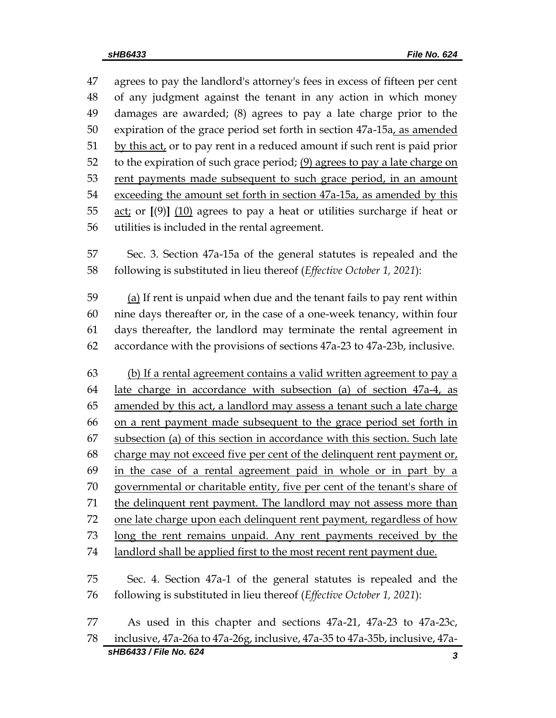*sHB6433 / File No. 624 3* agrees to pay the landlord's attorney's fees in excess of fifteen per cent of any judgment against the tenant in any action in which money damages are awarded; (8) agrees to pay a late charge prior to the expiration of the grace period set forth in section 47a-15a, as amended by this act, or to pay rent in a reduced amount if such rent is paid prior 52 to the expiration of such grace period;  $(9)$  agrees to pay a late charge on 53 rent payments made subsequent to such grace period, in an amount exceeding the amount set forth in section 47a-15a, as amended by this act; or **[**(9)**]** (10) agrees to pay a heat or utilities surcharge if heat or utilities is included in the rental agreement. Sec. 3. Section 47a-15a of the general statutes is repealed and the following is substituted in lieu thereof (*Effective October 1, 2021*): (a) If rent is unpaid when due and the tenant fails to pay rent within nine days thereafter or, in the case of a one-week tenancy, within four days thereafter, the landlord may terminate the rental agreement in accordance with the provisions of sections 47a-23 to 47a-23b, inclusive. (b) If a rental agreement contains a valid written agreement to pay a late charge in accordance with subsection (a) of section 47a-4, as 65 amended by this act, a landlord may assess a tenant such a late charge on a rent payment made subsequent to the grace period set forth in subsection (a) of this section in accordance with this section. Such late charge may not exceed five per cent of the delinquent rent payment or, in the case of a rental agreement paid in whole or in part by a governmental or charitable entity, five per cent of the tenant's share of 71 the delinquent rent payment. The landlord may not assess more than one late charge upon each delinquent rent payment, regardless of how long the rent remains unpaid. Any rent payments received by the landlord shall be applied first to the most recent rent payment due. Sec. 4. Section 47a-1 of the general statutes is repealed and the following is substituted in lieu thereof (*Effective October 1, 2021*): As used in this chapter and sections 47a-21, 47a-23 to 47a-23c, inclusive, 47a-26a to 47a-26g, inclusive, 47a-35 to 47a-35b, inclusive, 47a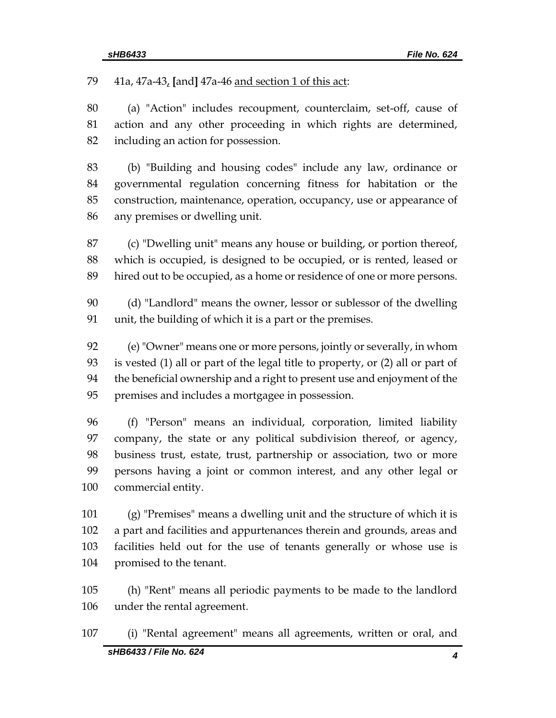41a, 47a-43, **[**and**]** 47a-46 and section 1 of this act:

 (a) "Action" includes recoupment, counterclaim, set-off, cause of action and any other proceeding in which rights are determined, including an action for possession.

 (b) "Building and housing codes" include any law, ordinance or governmental regulation concerning fitness for habitation or the construction, maintenance, operation, occupancy, use or appearance of any premises or dwelling unit.

 (c) "Dwelling unit" means any house or building, or portion thereof, which is occupied, is designed to be occupied, or is rented, leased or hired out to be occupied, as a home or residence of one or more persons.

 (d) "Landlord" means the owner, lessor or sublessor of the dwelling unit, the building of which it is a part or the premises.

 (e) "Owner" means one or more persons, jointly or severally, in whom is vested (1) all or part of the legal title to property, or (2) all or part of the beneficial ownership and a right to present use and enjoyment of the premises and includes a mortgagee in possession.

 (f) "Person" means an individual, corporation, limited liability company, the state or any political subdivision thereof, or agency, business trust, estate, trust, partnership or association, two or more persons having a joint or common interest, and any other legal or commercial entity.

 (g) "Premises" means a dwelling unit and the structure of which it is a part and facilities and appurtenances therein and grounds, areas and facilities held out for the use of tenants generally or whose use is promised to the tenant.

 (h) "Rent" means all periodic payments to be made to the landlord under the rental agreement.

*sHB6433 / File No. 624 4* (i) "Rental agreement" means all agreements, written or oral, and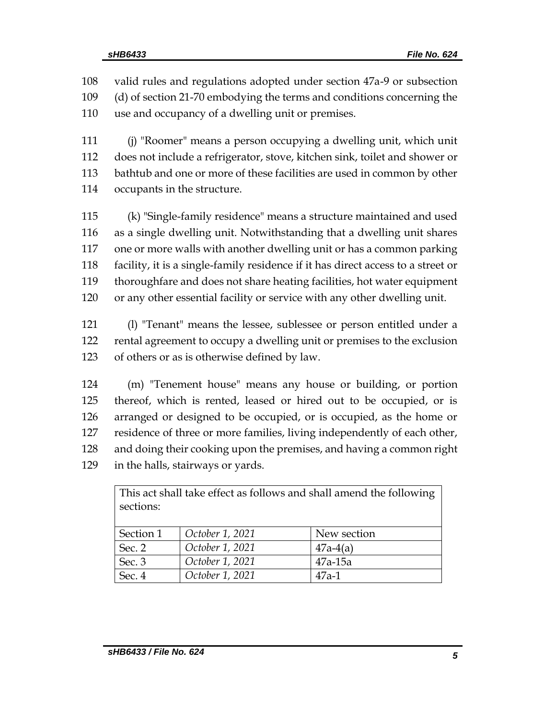valid rules and regulations adopted under section 47a-9 or subsection (d) of section 21-70 embodying the terms and conditions concerning the use and occupancy of a dwelling unit or premises.

 (j) "Roomer" means a person occupying a dwelling unit, which unit does not include a refrigerator, stove, kitchen sink, toilet and shower or bathtub and one or more of these facilities are used in common by other occupants in the structure.

 (k) "Single-family residence" means a structure maintained and used as a single dwelling unit. Notwithstanding that a dwelling unit shares one or more walls with another dwelling unit or has a common parking facility, it is a single-family residence if it has direct access to a street or thoroughfare and does not share heating facilities, hot water equipment or any other essential facility or service with any other dwelling unit.

 (l) "Tenant" means the lessee, sublessee or person entitled under a rental agreement to occupy a dwelling unit or premises to the exclusion of others or as is otherwise defined by law.

 (m) "Tenement house" means any house or building, or portion thereof, which is rented, leased or hired out to be occupied, or is arranged or designed to be occupied, or is occupied, as the home or residence of three or more families, living independently of each other, and doing their cooking upon the premises, and having a common right in the halls, stairways or yards.

| This act shall take effect as follows and shall amend the following<br>sections: |                 |             |
|----------------------------------------------------------------------------------|-----------------|-------------|
| Section 1                                                                        | October 1, 2021 | New section |
| Sec. 2                                                                           | October 1, 2021 | $47a-4(a)$  |
| Sec. 3                                                                           | October 1, 2021 | $47a-15a$   |
| Sec. 4                                                                           | October 1, 2021 | $47a-1$     |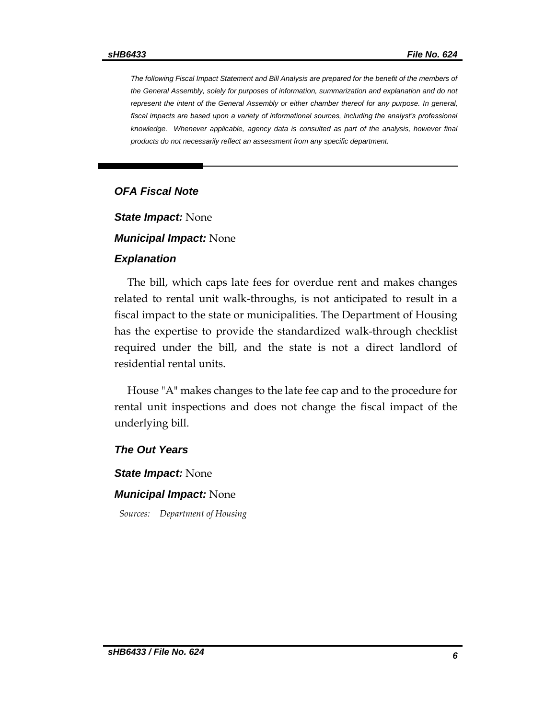*The following Fiscal Impact Statement and Bill Analysis are prepared for the benefit of the members of the General Assembly, solely for purposes of information, summarization and explanation and do not represent the intent of the General Assembly or either chamber thereof for any purpose. In general,*  fiscal impacts are based upon a variety of informational sources, including the analyst's professional knowledge. Whenever applicable, agency data is consulted as part of the analysis, however final *products do not necessarily reflect an assessment from any specific department.*

#### *OFA Fiscal Note*

*State Impact:* None

*Municipal Impact:* None

#### *Explanation*

The bill, which caps late fees for overdue rent and makes changes related to rental unit walk-throughs, is not anticipated to result in a fiscal impact to the state or municipalities. The Department of Housing has the expertise to provide the standardized walk-through checklist required under the bill, and the state is not a direct landlord of residential rental units.

House "A" makes changes to the late fee cap and to the procedure for rental unit inspections and does not change the fiscal impact of the underlying bill.

*The Out Years*

*State Impact:* None

#### *Municipal Impact:* None

*Sources: Department of Housing*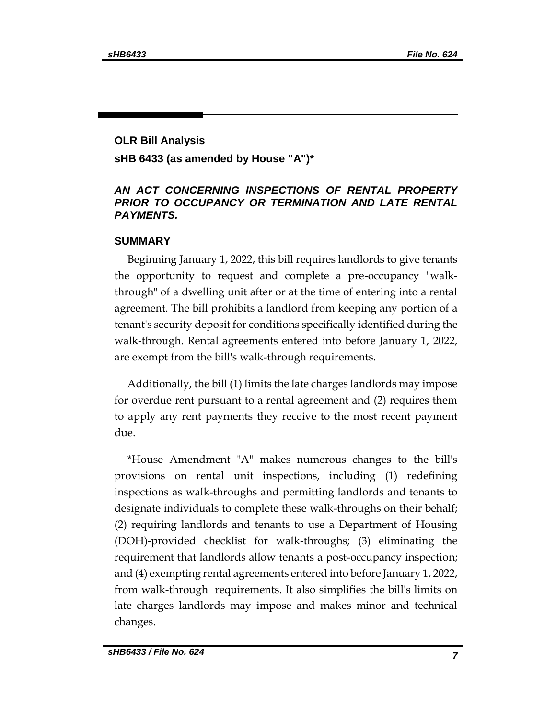## **OLR Bill Analysis sHB 6433 (as amended by House "A")\***

## *AN ACT CONCERNING INSPECTIONS OF RENTAL PROPERTY PRIOR TO OCCUPANCY OR TERMINATION AND LATE RENTAL PAYMENTS.*

#### **SUMMARY**

Beginning January 1, 2022, this bill requires landlords to give tenants the opportunity to request and complete a pre-occupancy "walkthrough" of a dwelling unit after or at the time of entering into a rental agreement. The bill prohibits a landlord from keeping any portion of a tenant's security deposit for conditions specifically identified during the walk-through. Rental agreements entered into before January 1, 2022, are exempt from the bill's walk-through requirements.

Additionally, the bill (1) limits the late charges landlords may impose for overdue rent pursuant to a rental agreement and (2) requires them to apply any rent payments they receive to the most recent payment due.

\*House  $\Delta$ mendment " $\Delta$ " makes numerous changes to the bill's provisions on rental unit inspections, including (1) redefining inspections as walk-throughs and permitting landlords and tenants to designate individuals to complete these walk-throughs on their behalf; (2) requiring landlords and tenants to use a Department of Housing (DOH)-provided checklist for walk-throughs; (3) eliminating the requirement that landlords allow tenants a post-occupancy inspection; and (4) exempting rental agreements entered into before January 1, 2022, from walk-through requirements. It also simplifies the bill's limits on late charges landlords may impose and makes minor and technical changes.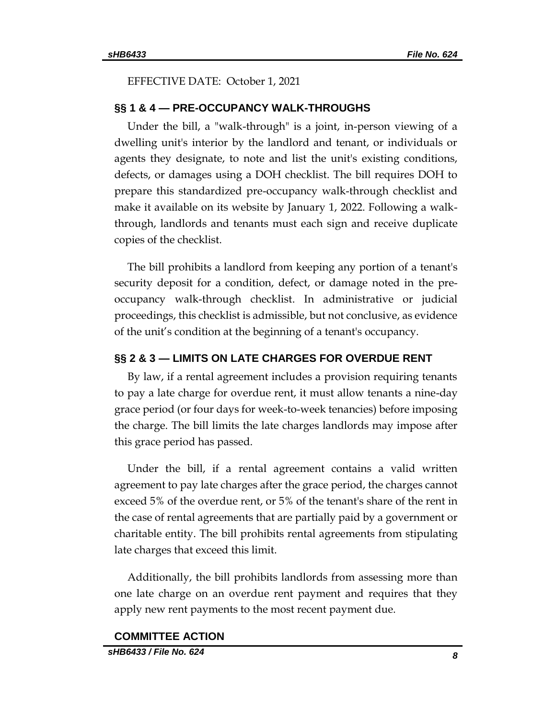EFFECTIVE DATE: October 1, 2021

#### **§§ 1 & 4 — PRE-OCCUPANCY WALK-THROUGHS**

Under the bill, a "walk-through" is a joint, in-person viewing of a dwelling unit's interior by the landlord and tenant, or individuals or agents they designate, to note and list the unit's existing conditions, defects, or damages using a DOH checklist. The bill requires DOH to prepare this standardized pre-occupancy walk-through checklist and make it available on its website by January 1, 2022. Following a walkthrough, landlords and tenants must each sign and receive duplicate copies of the checklist.

The bill prohibits a landlord from keeping any portion of a tenant's security deposit for a condition, defect, or damage noted in the preoccupancy walk-through checklist. In administrative or judicial proceedings, this checklist is admissible, but not conclusive, as evidence of the unit's condition at the beginning of a tenant's occupancy.

### **§§ 2 & 3 — LIMITS ON LATE CHARGES FOR OVERDUE RENT**

By law, if a rental agreement includes a provision requiring tenants to pay a late charge for overdue rent, it must allow tenants a nine-day grace period (or four days for week-to-week tenancies) before imposing the charge. The bill limits the late charges landlords may impose after this grace period has passed.

Under the bill, if a rental agreement contains a valid written agreement to pay late charges after the grace period, the charges cannot exceed 5% of the overdue rent, or 5% of the tenant's share of the rent in the case of rental agreements that are partially paid by a government or charitable entity. The bill prohibits rental agreements from stipulating late charges that exceed this limit.

Additionally, the bill prohibits landlords from assessing more than one late charge on an overdue rent payment and requires that they apply new rent payments to the most recent payment due.

#### **COMMITTEE ACTION**